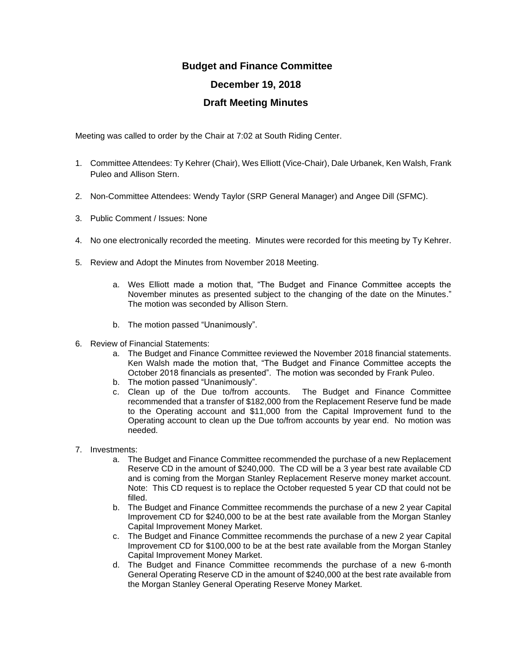## **Budget and Finance Committee December 19, 2018 Draft Meeting Minutes**

Meeting was called to order by the Chair at 7:02 at South Riding Center.

- 1. Committee Attendees: Ty Kehrer (Chair), Wes Elliott (Vice-Chair), Dale Urbanek, Ken Walsh, Frank Puleo and Allison Stern.
- 2. Non-Committee Attendees: Wendy Taylor (SRP General Manager) and Angee Dill (SFMC).
- 3. Public Comment / Issues: None
- 4. No one electronically recorded the meeting. Minutes were recorded for this meeting by Ty Kehrer.
- 5. Review and Adopt the Minutes from November 2018 Meeting.
	- a. Wes Elliott made a motion that, "The Budget and Finance Committee accepts the November minutes as presented subject to the changing of the date on the Minutes." The motion was seconded by Allison Stern.
	- b. The motion passed "Unanimously".
- 6. Review of Financial Statements:
	- a. The Budget and Finance Committee reviewed the November 2018 financial statements. Ken Walsh made the motion that, "The Budget and Finance Committee accepts the October 2018 financials as presented". The motion was seconded by Frank Puleo.
	- b. The motion passed "Unanimously".
	- c. Clean up of the Due to/from accounts. The Budget and Finance Committee recommended that a transfer of \$182,000 from the Replacement Reserve fund be made to the Operating account and \$11,000 from the Capital Improvement fund to the Operating account to clean up the Due to/from accounts by year end. No motion was needed.
- 7. Investments:
	- a. The Budget and Finance Committee recommended the purchase of a new Replacement Reserve CD in the amount of \$240,000. The CD will be a 3 year best rate available CD and is coming from the Morgan Stanley Replacement Reserve money market account. Note: This CD request is to replace the October requested 5 year CD that could not be filled.
	- b. The Budget and Finance Committee recommends the purchase of a new 2 year Capital Improvement CD for \$240,000 to be at the best rate available from the Morgan Stanley Capital Improvement Money Market.
	- c. The Budget and Finance Committee recommends the purchase of a new 2 year Capital Improvement CD for \$100,000 to be at the best rate available from the Morgan Stanley Capital Improvement Money Market.
	- d. The Budget and Finance Committee recommends the purchase of a new 6-month General Operating Reserve CD in the amount of \$240,000 at the best rate available from the Morgan Stanley General Operating Reserve Money Market.